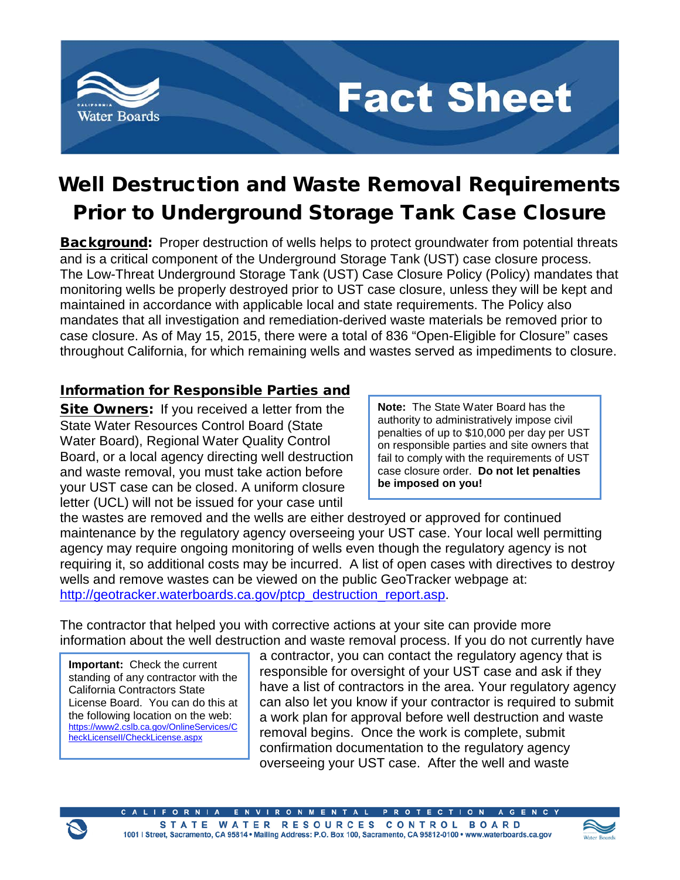

## **Fact Sheet**

## Well Destruction and Waste Removal Requirements Prior to Underground Storage Tank Case Closure

Background:Proper destruction of wells helps to protect groundwater from potential threats and is a critical component of the Underground Storage Tank (UST) case closure process. The Low-Threat Underground Storage Tank (UST) Case Closure Policy (Policy) mandates that monitoring wells be properly destroyed prior to UST case closure, unless they will be kept and maintained in accordance with applicable local and state requirements. The Policy also mandates that all investigation and remediation-derived waste materials be removed prior to case closure. As of May 15, 2015, there were a total of 836 "Open-Eligible for Closure" cases throughout California, for which remaining wells and wastes served as impediments to closure.

## Information for Responsible Parties and

Site Owners: If you received a letter from the State Water Resources Control Board (State Water Board), Regional Water Quality Control Board, or a local agency directing well destruction and waste removal, you must take action before your UST case can be closed. A uniform closure letter (UCL) will not be issued for your case until

**Note:** The State Water Board has the authority to administratively impose civil penalties of up to \$10,000 per day per UST on responsible parties and site owners that fail to comply with the requirements of UST case closure order. **Do not let penalties be imposed on you!**

the wastes are removed and the wells are either destroyed or approved for continued maintenance by the regulatory agency overseeing your UST case. Your local well permitting agency may require ongoing monitoring of wells even though the regulatory agency is not requiring it, so additional costs may be incurred. A list of open cases with directives to destroy wells and remove wastes can be viewed on the public GeoTracker webpage at: [http://geotracker.waterboards.ca.gov/ptcp\\_destruction\\_report.asp.](http://geotracker.waterboards.ca.gov/ptcp_destruction_report.asp)

The contractor that helped you with corrective actions at your site can provide more information about the well destruction and waste removal process. If you do not currently have

**Important:** Check the current standing of any contractor with the California Contractors State License Board. You can do this at the following location on the web: [https://www2.cslb.ca.gov/OnlineServices/C](https://www2.cslb.ca.gov/OnlineServices/CheckLicenseII/CheckLicense.aspx) [heckLicenseII/CheckLicense.aspx](https://www2.cslb.ca.gov/OnlineServices/CheckLicenseII/CheckLicense.aspx)

a contractor, you can contact the regulatory agency that is responsible for oversight of your UST case and ask if they have a list of contractors in the area. Your regulatory agency can also let you know if your contractor is required to submit a work plan for approval before well destruction and waste removal begins. Once the work is complete, submit confirmation documentation to the regulatory agency overseeing your UST case. After the well and waste